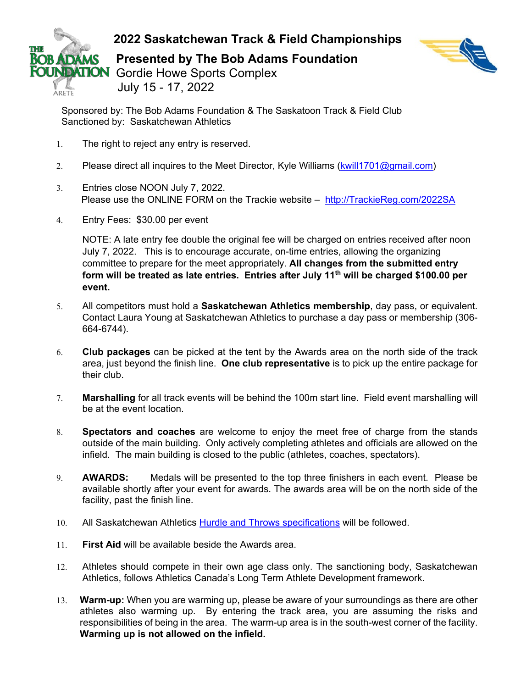



**ARETE** 

Sponsored by: The Bob Adams Foundation & The Saskatoon Track & Field Club Sanctioned by: Saskatchewan Athletics

- 1. The right to reject any entry is reserved.
- 2. Please direct all inquires to the Meet Director, Kyle Williams [\(kwill1701@gmail.com\)](mailto:kwill1701@gmail.com)
- 3. Entries close NOON July 7, 2022. Please use the ONLINE FORM on the Trackie website – [http://TrackieReg.com/2022SA](http://trackiereg.com/2022SA)
- 4. Entry Fees: \$30.00 per event

NOTE: A late entry fee double the original fee will be charged on entries received after noon July 7, 2022. This is to encourage accurate, on-time entries, allowing the organizing committee to prepare for the meet appropriately. **All changes from the submitted entry form will be treated as late entries. Entries after July 11th will be charged \$100.00 per event.** 

- 5. All competitors must hold a **Saskatchewan Athletics membership**, day pass, or equivalent. Contact Laura Young at Saskatchewan Athletics to purchase a day pass or membership (306- 664-6744).
- 6. **Club packages** can be picked at the tent by the Awards area on the north side of the track area, just beyond the finish line. **One club representative** is to pick up the entire package for their club.
- 7. **Marshalling** for all track events will be behind the 100m start line. Field event marshalling will be at the event location.
- 8. **Spectators and coaches** are welcome to enjoy the meet free of charge from the stands outside of the main building. Only actively completing athletes and officials are allowed on the infield. The main building is closed to the public (athletes, coaches, spectators).
- 9. **AWARDS:** Medals will be presented to the top three finishers in each event. Please be available shortly after your event for awards. The awards area will be on the north side of the facility, past the finish line.
- 10. All Saskatchewan Athletics [Hurdle and Throws specifications](https://www.saskathletics.ca/images/pdfs/Outdoor_Events_-_Updated_2020.pdf) will be followed.
- 11. **First Aid** will be available beside the Awards area.
- 12. Athletes should compete in their own age class only. The sanctioning body, Saskatchewan Athletics, follows Athletics Canada's Long Term Athlete Development framework.
- 13. **Warm-up:** When you are warming up, please be aware of your surroundings as there are other athletes also warming up. By entering the track area, you are assuming the risks and responsibilities of being in the area. The warm-up area is in the south-west corner of the facility. **Warming up is not allowed on the infield.**